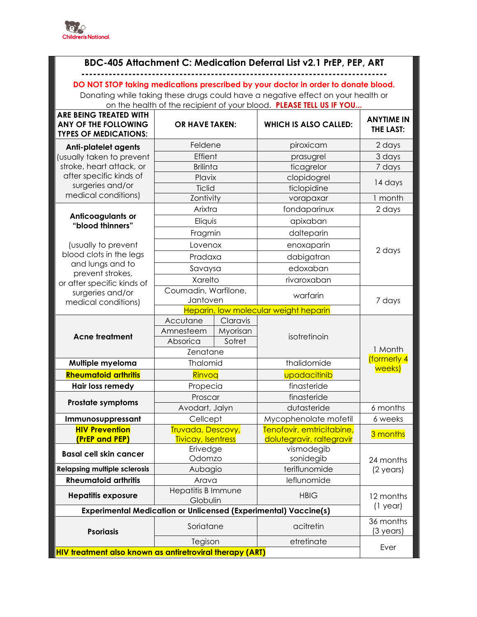

## BDC-405 Attachment C: Medication Deferral List v2.1 PrEP, PEP, ART

DO NOT STOP taking medications prescribed by your doctor in order to donate blood.

Donating while taking these drugs could have a negative effect on your health or on the health of the recipient of your blood. PLEASE TELL US IF YOU...

| <b>ARE BEING TREATED WITH</b><br><b>ANY OF THE FOLLOWING</b><br><b>TYPES OF MEDICATIONS:</b>                                    | <b>OR HAVE TAKEN:</b>                             |          | <b>WHICH IS ALSO CALLED:</b> | <b>ANYTIME IN</b><br><b>THE LAST:</b> |  |
|---------------------------------------------------------------------------------------------------------------------------------|---------------------------------------------------|----------|------------------------------|---------------------------------------|--|
| <b>Anti-platelet agents</b>                                                                                                     | Feldene                                           |          | piroxicam                    | 2 days                                |  |
| (usually taken to prevent                                                                                                       | Effient                                           |          | prasugrel                    | 3 days                                |  |
| stroke, heart attack, or                                                                                                        | <b>Brilinta</b>                                   |          | ticagrelor                   | 7 days                                |  |
| after specific kinds of                                                                                                         | Plavix                                            |          | clopidogrel                  | 14 days                               |  |
| surgeries and/or                                                                                                                | Ticlid                                            |          | ticlopidine                  |                                       |  |
| medical conditions)                                                                                                             | Zontivity                                         |          | vorapaxar                    | 1 month                               |  |
| Anticoagulants or<br>"blood thinners"<br>(usually to prevent<br>blood clots in the legs<br>and lungs and to<br>prevent strokes, | Arixtra                                           |          | fondaparinux                 | 2 days                                |  |
|                                                                                                                                 | Eliquis                                           |          | apixaban                     | 2 days                                |  |
|                                                                                                                                 | Fragmin                                           |          | dalteparin                   |                                       |  |
|                                                                                                                                 | Lovenox                                           |          | enoxaparin                   |                                       |  |
|                                                                                                                                 | Pradaxa                                           |          | dabigatran                   |                                       |  |
|                                                                                                                                 | Savaysa                                           |          | edoxaban                     |                                       |  |
| or after specific kinds of                                                                                                      | Xarelto                                           |          | rivaroxaban                  |                                       |  |
| surgeries and/or<br>medical conditions)                                                                                         | Coumadin, Warfilone,                              |          | warfarin                     |                                       |  |
|                                                                                                                                 | Jantoven<br>Heparin, low molecular weight heparin |          | 7 days                       |                                       |  |
| <b>Acne treatment</b>                                                                                                           | Accutane                                          | Claravis |                              |                                       |  |
|                                                                                                                                 | Amnesteem                                         | Myorisan |                              |                                       |  |
|                                                                                                                                 | Absorica<br>Sotret                                |          | isotretinoin                 |                                       |  |
|                                                                                                                                 | Zenatane                                          |          |                              | 1 Month                               |  |
| Multiple myeloma                                                                                                                | Thalomid                                          |          | thalidomide                  | (formerly 4                           |  |
| <b>Rheumatoid arthritis</b>                                                                                                     | Rinvoq                                            |          | upadacitinib                 | weeks)                                |  |
| Hair loss remedy                                                                                                                | Propecia                                          |          | finasteride                  |                                       |  |
| Prostate symptoms                                                                                                               | Proscar                                           |          | finasteride                  |                                       |  |
|                                                                                                                                 | Avodart, Jalyn                                    |          | dutasteride                  | 6 months                              |  |
| Immunosuppressant                                                                                                               | Cellcept                                          |          | Mycophenolate mofetil        | 6 weeks                               |  |
| <b>HIV Prevention</b>                                                                                                           | Truvada, Descovy,                                 |          | Tenofovir, emtricitabine,    |                                       |  |
| (PrEP and PEP)                                                                                                                  | Tivicay, Isentress                                |          | dolutegravir, raltegravir    | 3 months                              |  |
| <b>Basal cell skin cancer</b>                                                                                                   | Erivedge                                          |          | vismodegib                   |                                       |  |
| <b>Relapsing multiple sclerosis</b>                                                                                             | Odomzo                                            |          | sonidegib<br>teriflunomide   | 24 months                             |  |
| <b>Rheumatoid arthritis</b>                                                                                                     | Aubagio<br>Arava                                  |          | leflunomide                  | $(2 \text{ years})$                   |  |
|                                                                                                                                 | <b>Hepatitis B Immune</b>                         |          |                              |                                       |  |
| <b>Hepatitis exposure</b>                                                                                                       | Globulin                                          |          | <b>HBIG</b>                  | 12 months                             |  |
| <b>Experimental Medication or Unlicensed (Experimental) Vaccine(s)</b>                                                          |                                                   |          |                              | $(1$ year)                            |  |
| <b>Psoriasis</b>                                                                                                                | Soriatane                                         |          | acitretin                    | 36 months<br>(3 years)                |  |
|                                                                                                                                 | Tegison                                           |          | etretinate                   | Ever                                  |  |
| <b>HIV treatment also known as antiretroviral therapy (ART)</b>                                                                 |                                                   |          |                              |                                       |  |